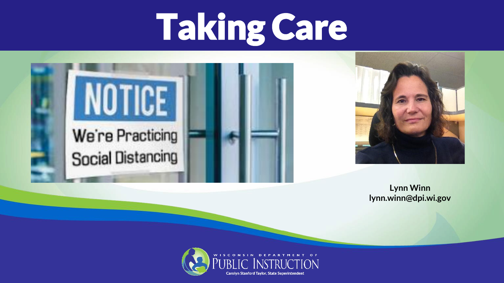### Taking Care





#### **Lynn Winn lynn.winn@dpi.wi.gov**

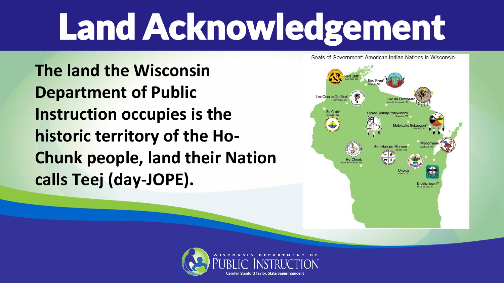# Land Acknowledgement

**The land the Wisconsin Department of Public Instruction occupies is the historic territory of the Ho-Chunk people, land their Nation calls Teej (day-JOPE).**



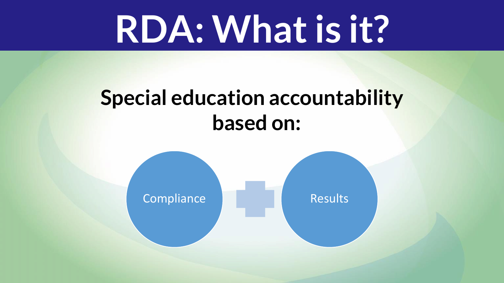#### **RDA: What is it?**

#### **Special education accountability based on:**

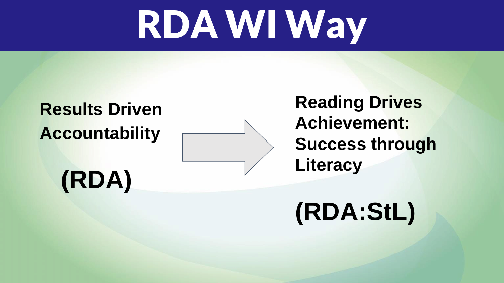## RDA WI Way

#### **Results Driven Accountability**

**Reading Drives Achievement: Success through Literacy**

#### **(RDA)**

#### **(RDA:StL)**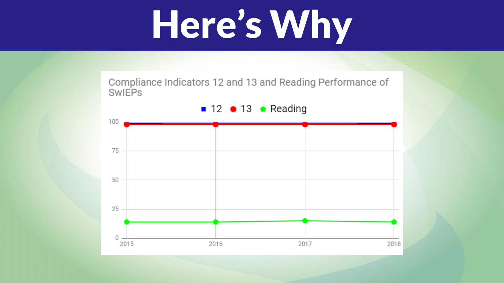## Here's Why

Compliance Indicators 12 and 13 and Reading Performance of **SwIEPs** 

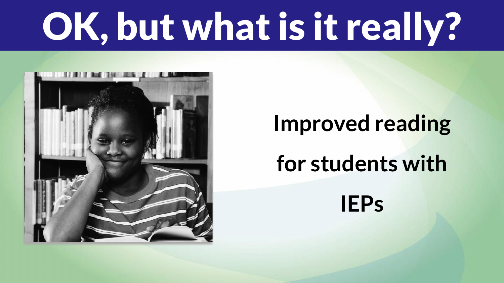# OK, but what is it really?



#### **Improved reading for students with IEPs**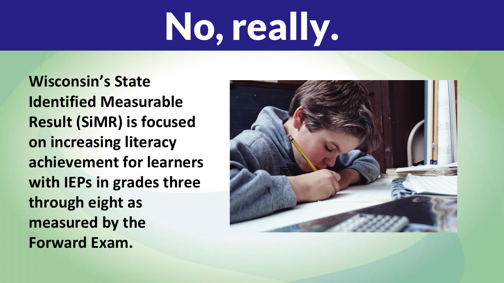# No, really.

**Wisconsin's State Identified Measurable Result (SiMR) is focused on increasing literacy achievement for learners with IEPs in grades three through eight as measured by the Forward Exam.**

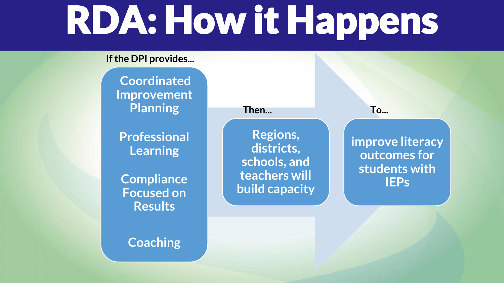# RDA: How it Happens

#### **If the DPI provides...**

**Coordinated Improvement Planning**

**Professional Learning**

**Compliance Focused on Results**

**Coaching**

**Then... To...**

**Regions, districts, schools, and teachers will build capacity**

**improve literacy outcomes for students with IEPs**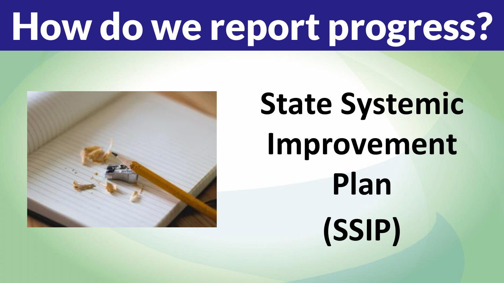# How do we report progress?



## **State Systemic Improvement Plan (SSIP)**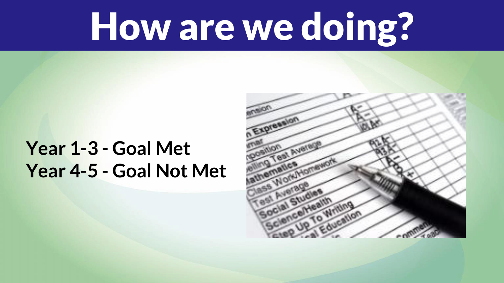## How are we doing?

#### **Year 1-3 - Goal Met Year 4-5 - Goal Not Met**